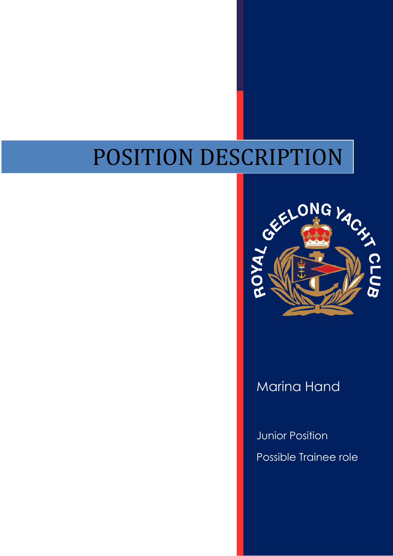# POSITION DESCRIPTION



Marina Hand

Junior Position Possible Trainee role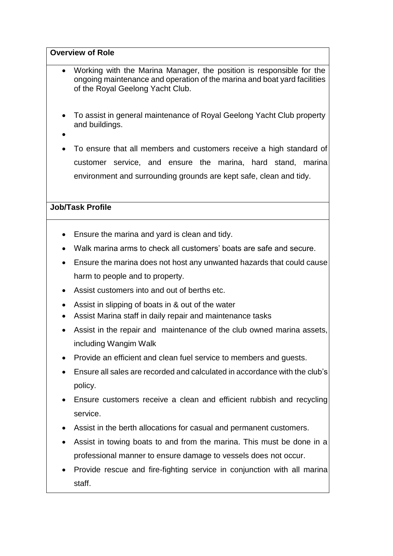#### **Overview of Role**

- Working with the Marina Manager, the position is responsible for the ongoing maintenance and operation of the marina and boat yard facilities of the Royal Geelong Yacht Club.
- To assist in general maintenance of Royal Geelong Yacht Club property and buildings.
- $\bullet$
- To ensure that all members and customers receive a high standard of customer service, and ensure the marina, hard stand, marina environment and surrounding grounds are kept safe, clean and tidy.

#### **Job/Task Profile**

- Ensure the marina and yard is clean and tidy.
- Walk marina arms to check all customers' boats are safe and secure.
- Ensure the marina does not host any unwanted hazards that could cause harm to people and to property.
- Assist customers into and out of berths etc.
- Assist in slipping of boats in & out of the water
- Assist Marina staff in daily repair and maintenance tasks
- Assist in the repair and maintenance of the club owned marina assets, including Wangim Walk
- Provide an efficient and clean fuel service to members and quests.
- Ensure all sales are recorded and calculated in accordance with the club's policy.
- Ensure customers receive a clean and efficient rubbish and recycling service.
- Assist in the berth allocations for casual and permanent customers.
- Assist in towing boats to and from the marina. This must be done in a professional manner to ensure damage to vessels does not occur.
- Provide rescue and fire-fighting service in conjunction with all marina staff.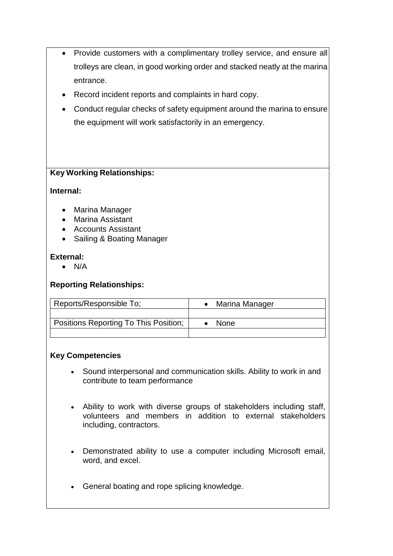- Provide customers with a complimentary trolley service, and ensure all trolleys are clean, in good working order and stacked neatly at the marina entrance.
- Record incident reports and complaints in hard copy.
- Conduct regular checks of safety equipment around the marina to ensure the equipment will work satisfactorily in an emergency.

## **Key Working Relationships:**

#### **Internal:**

- Marina Manager
- Marina Assistant
- Accounts Assistant
- Sailing & Boating Manager

#### **External:**

 $\bullet$  N/A

## **Reporting Relationships:**

| Reports/Responsible To;               | Marina Manager |
|---------------------------------------|----------------|
|                                       |                |
| Positions Reporting To This Position; | <b>None</b>    |
|                                       |                |

#### **Key Competencies**

- Sound interpersonal and communication skills. Ability to work in and contribute to team performance
- Ability to work with diverse groups of stakeholders including staff, volunteers and members in addition to external stakeholders including, contractors.
- Demonstrated ability to use a computer including Microsoft email, word, and excel.
- General boating and rope splicing knowledge.